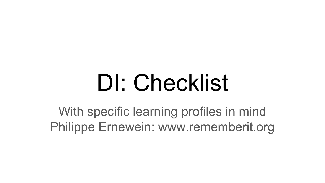## DI: Checklist

With specific learning profiles in mind Philippe Ernewein: www.rememberit.org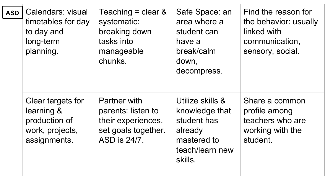| <b>ASD</b> | Calendars: visual<br>timetables for day<br>to day and<br>long-term<br>planning.     | Teaching = clear $\&$<br>systematic:<br>breaking down<br>tasks into<br>manageable<br>chunks.    | Safe Space: an<br>area where a<br>student can<br>have a<br>break/calm<br>down,<br>decompress.             | Find the reason for<br>the behavior: usually<br>linked with<br>communication,<br>sensory, social. |
|------------|-------------------------------------------------------------------------------------|-------------------------------------------------------------------------------------------------|-----------------------------------------------------------------------------------------------------------|---------------------------------------------------------------------------------------------------|
|            | Clear targets for<br>learning &<br>production of<br>work, projects,<br>assignments. | Partner with<br>parents: listen to<br>their experiences,<br>set goals together.<br>ASD is 24/7. | Utilize skills &<br>knowledge that<br>student has<br>already<br>mastered to<br>teach/learn new<br>skills. | Share a common<br>profile among<br>teachers who are<br>working with the<br>student.               |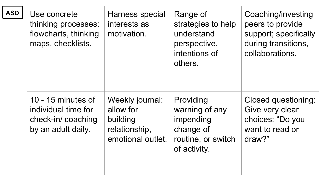| <b>ASD</b> | Use concrete<br>thinking processes:<br>flowcharts, thinking<br>maps, checklists.     | Harness special<br>interests as<br>motivation.                                 | Range of<br>strategies to help<br>understand<br>perspective,<br>intentions of<br>others.    | Coaching/investing<br>peers to provide<br>support; specifically<br>during transitions,<br>collaborations. |
|------------|--------------------------------------------------------------------------------------|--------------------------------------------------------------------------------|---------------------------------------------------------------------------------------------|-----------------------------------------------------------------------------------------------------------|
|            | 10 - 15 minutes of<br>individual time for<br>check-in/coaching<br>by an adult daily. | Weekly journal:<br>allow for<br>building<br>relationship,<br>emotional outlet. | Providing<br>warning of any<br>impending<br>change of<br>routine, or switch<br>of activity. | Closed questioning:<br>Give very clear<br>choices: "Do you<br>want to read or<br>draw?"                   |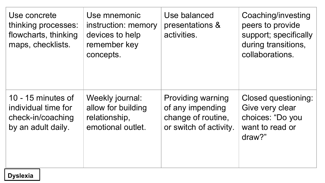| Use concrete<br>thinking processes:<br>flowcharts, thinking<br>maps, checklists.     | Use mnemonic<br>instruction: memory<br>devices to help<br>remember key<br>concepts. | Use balanced<br>presentations &<br>activities.                                               | Coaching/investing<br>peers to provide<br>support; specifically<br>during transitions,<br>collaborations. |
|--------------------------------------------------------------------------------------|-------------------------------------------------------------------------------------|----------------------------------------------------------------------------------------------|-----------------------------------------------------------------------------------------------------------|
| 10 - 15 minutes of<br>individual time for<br>check-in/coaching<br>by an adult daily. | Weekly journal:<br>allow for building<br>relationship,<br>emotional outlet.         | <b>Providing warning</b><br>of any impending<br>change of routine,<br>or switch of activity. | Closed questioning:<br>Give very clear<br>choices: "Do you<br>want to read or<br>draw?"                   |

## **Dyslexia**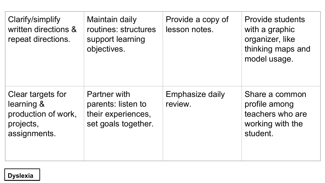| Clarify/simplify<br>written directions &<br>repeat directions.                      | Maintain daily<br>routines: structures<br>support learning<br>objectives.       | Provide a copy of<br>lesson notes. | <b>Provide students</b><br>with a graphic<br>organizer, like<br>thinking maps and<br>model usage. |
|-------------------------------------------------------------------------------------|---------------------------------------------------------------------------------|------------------------------------|---------------------------------------------------------------------------------------------------|
| Clear targets for<br>learning &<br>production of work,<br>projects,<br>assignments. | Partner with<br>parents: listen to<br>their experiences,<br>set goals together. | Emphasize daily<br>review.         | Share a common<br>profile among<br>teachers who are<br>working with the<br>student.               |

## **Dyslexia**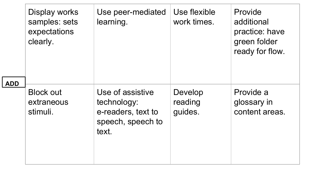| <b>ADD</b> | Display works<br>samples: sets<br>expectations<br>clearly. | Use peer-mediated<br>learning.                                                      | Use flexible<br>work times.   | Provide<br>additional<br>practice: have<br>green folder<br>ready for flow. |
|------------|------------------------------------------------------------|-------------------------------------------------------------------------------------|-------------------------------|----------------------------------------------------------------------------|
|            | <b>Block out</b><br>extraneous<br>stimuli.                 | Use of assistive<br>technology:<br>e-readers, text to<br>speech, speech to<br>text. | Develop<br>reading<br>quides. | Provide a<br>glossary in<br>content areas.                                 |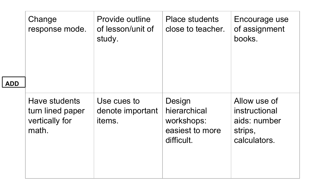| <b>ADD</b> | Change<br>response mode.                                     | Provide outline<br>of lesson/unit of<br>study. | Place students<br>close to teacher.                                   | Encourage use<br>of assignment<br>books.                                 |
|------------|--------------------------------------------------------------|------------------------------------------------|-----------------------------------------------------------------------|--------------------------------------------------------------------------|
|            | Have students<br>turn lined paper<br>vertically for<br>math. | Use cues to<br>denote important<br>items.      | Design<br>hierarchical<br>workshops:<br>easiest to more<br>difficult. | Allow use of<br>instructional<br>aids: number<br>strips,<br>calculators. |